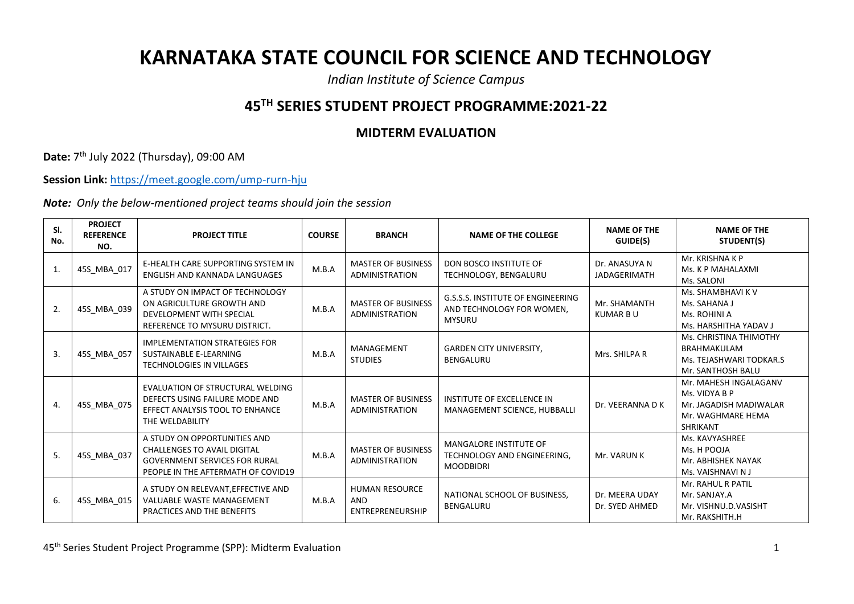## **KARNATAKA STATE COUNCIL FOR SCIENCE AND TECHNOLOGY**

*Indian Institute of Science Campus*

## **45TH SERIES STUDENT PROJECT PROGRAMME:2021-22**

## **MIDTERM EVALUATION**

**Date:** 7<sup>th</sup> July 2022 (Thursday), 09:00 AM

**Session Link:** <https://meet.google.com/ump-rurn-hju>

*Note: Only the below-mentioned project teams should join the session*

| SI.<br>No. | <b>PROJECT</b><br><b>REFERENCE</b><br>NO. | <b>PROJECT TITLE</b>                                                                                                                             | <b>COURSE</b> | <b>BRANCH</b>                                      | <b>NAME OF THE COLLEGE</b>                                                             | <b>NAME OF THE</b><br>GUIDE(S)       | <b>NAME OF THE</b><br>STUDENT(S)                                                                         |
|------------|-------------------------------------------|--------------------------------------------------------------------------------------------------------------------------------------------------|---------------|----------------------------------------------------|----------------------------------------------------------------------------------------|--------------------------------------|----------------------------------------------------------------------------------------------------------|
| 1.         | 45S_MBA_017                               | E-HEALTH CARE SUPPORTING SYSTEM IN<br><b>ENGLISH AND KANNADA LANGUAGES</b>                                                                       | M.B.A         | <b>MASTER OF BUSINESS</b><br><b>ADMINISTRATION</b> | DON BOSCO INSTITUTE OF<br>TECHNOLOGY, BENGALURU                                        | Dr. ANASUYA N<br><b>JADAGERIMATH</b> | Mr. KRISHNA K P<br>Ms. K P MAHALAXMI<br>Ms. SALONI                                                       |
| 2.         | 45S_MBA_039                               | A STUDY ON IMPACT OF TECHNOLOGY<br>ON AGRICULTURE GROWTH AND<br>DEVELOPMENT WITH SPECIAL<br>REFERENCE TO MYSURU DISTRICT.                        | M.B.A         | <b>MASTER OF BUSINESS</b><br><b>ADMINISTRATION</b> | <b>G.S.S.S. INSTITUTE OF ENGINEERING</b><br>AND TECHNOLOGY FOR WOMEN,<br><b>MYSURU</b> | Mr. SHAMANTH<br><b>KUMAR B U</b>     | Ms. SHAMBHAVI K V<br>Ms. SAHANA J<br>Ms. ROHINI A<br>Ms. HARSHITHA YADAV J                               |
| 3.         | 45S MBA 057                               | <b>IMPLEMENTATION STRATEGIES FOR</b><br>SUSTAINABLE E-LEARNING<br><b>TECHNOLOGIES IN VILLAGES</b>                                                | M.B.A         | MANAGEMENT<br><b>STUDIES</b>                       | <b>GARDEN CITY UNIVERSITY,</b><br><b>BENGALURU</b>                                     | Mrs. SHILPA R                        | Ms. CHRISTINA THIMOTHY<br><b>BRAHMAKULAM</b><br>Ms. TEJASHWARI TODKAR.S<br>Mr. SANTHOSH BALU             |
| 4.         | 45S_MBA_075                               | EVALUATION OF STRUCTURAL WELDING<br>DEFECTS USING FAILURE MODE AND<br>EFFECT ANALYSIS TOOL TO ENHANCE<br>THE WELDABILITY                         | M.B.A         | <b>MASTER OF BUSINESS</b><br><b>ADMINISTRATION</b> | INSTITUTE OF EXCELLENCE IN<br>MANAGEMENT SCIENCE, HUBBALLI                             | Dr. VEERANNA D K                     | Mr. MAHESH INGALAGANV<br>Ms. VIDYA B P<br>Mr. JAGADISH MADIWALAR<br>Mr. WAGHMARE HEMA<br><b>SHRIKANT</b> |
| 5.         | 45S_MBA_037                               | A STUDY ON OPPORTUNITIES AND<br><b>CHALLENGES TO AVAIL DIGITAL</b><br><b>GOVERNMENT SERVICES FOR RURAL</b><br>PEOPLE IN THE AFTERMATH OF COVID19 | M.B.A         | <b>MASTER OF BUSINESS</b><br><b>ADMINISTRATION</b> | MANGALORE INSTITUTE OF<br>TECHNOLOGY AND ENGINEERING,<br><b>MOODBIDRI</b>              | Mr. VARUN K                          | Ms. KAVYASHREE<br>Ms. H POOJA<br>Mr. ABHISHEK NAYAK<br>Ms. VAISHNAVI NJ                                  |
| 6.         | 45S MBA 015                               | A STUDY ON RELEVANT, EFFECTIVE AND<br><b>VALUABLE WASTE MANAGEMENT</b><br>PRACTICES AND THE BENEFITS                                             | M.B.A         | <b>HUMAN RESOURCE</b><br>AND<br>ENTREPRENEURSHIP   | NATIONAL SCHOOL OF BUSINESS,<br><b>BENGALURU</b>                                       | Dr. MEERA UDAY<br>Dr. SYED AHMED     | Mr. RAHUL R PATIL<br>Mr. SANJAY.A<br>Mr. VISHNU.D.VASISHT<br>Mr. RAKSHITH.H                              |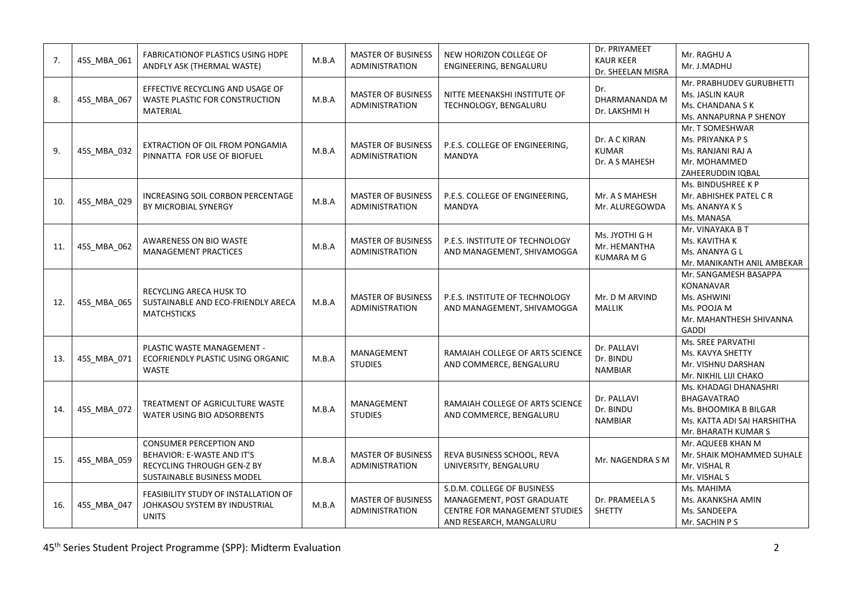| 7.  | 45S_MBA_061 | <b>FABRICATIONOF PLASTICS USING HDPE</b><br>ANDFLY ASK (THERMAL WASTE)                                            | M.B.A | <b>MASTER OF BUSINESS</b><br>ADMINISTRATION        | NEW HORIZON COLLEGE OF<br>ENGINEERING, BENGALURU                                                                    | Dr. PRIYAMEET<br><b>KAUR KEER</b><br>Dr. SHEELAN MISRA | Mr. RAGHU A<br>Mr. J.MADHU                                                                                                 |
|-----|-------------|-------------------------------------------------------------------------------------------------------------------|-------|----------------------------------------------------|---------------------------------------------------------------------------------------------------------------------|--------------------------------------------------------|----------------------------------------------------------------------------------------------------------------------------|
| 8.  | 45S_MBA_067 | EFFECTIVE RECYCLING AND USAGE OF<br>WASTE PLASTIC FOR CONSTRUCTION<br><b>MATERIAL</b>                             | M.B.A | <b>MASTER OF BUSINESS</b><br><b>ADMINISTRATION</b> | NITTE MEENAKSHI INSTITUTE OF<br>TECHNOLOGY, BENGALURU                                                               | Dr.<br>DHARMANANDA M<br>Dr. LAKSHMI H                  | Mr. PRABHUDEV GURUBHETTI<br>Ms. JASLIN KAUR<br>Ms. CHANDANA S K<br>Ms. ANNAPURNA P SHENOY                                  |
| 9.  | 45S_MBA_032 | EXTRACTION OF OIL FROM PONGAMIA<br>PINNATTA FOR USE OF BIOFUEL                                                    | M.B.A | <b>MASTER OF BUSINESS</b><br><b>ADMINISTRATION</b> | P.E.S. COLLEGE OF ENGINEERING,<br><b>MANDYA</b>                                                                     | Dr. A C KIRAN<br><b>KUMAR</b><br>Dr. A S MAHESH        | Mr. T SOMESHWAR<br>Ms. PRIYANKA P S<br>Ms. RANJANI RAJ A<br>Mr. MOHAMMED<br>ZAHEERUDDIN IQBAL                              |
| 10. | 45S MBA 029 | INCREASING SOIL CORBON PERCENTAGE<br>BY MICROBIAL SYNERGY                                                         | M.B.A | <b>MASTER OF BUSINESS</b><br><b>ADMINISTRATION</b> | P.E.S. COLLEGE OF ENGINEERING,<br><b>MANDYA</b>                                                                     | Mr. A S MAHESH<br>Mr. ALUREGOWDA                       | Ms. BINDUSHREE K P<br>Mr. ABHISHEK PATEL CR<br>Ms. ANANYA K S<br>Ms. MANASA                                                |
| 11. | 45S_MBA_062 | AWARENESS ON BIO WASTE<br><b>MANAGEMENT PRACTICES</b>                                                             | M.B.A | <b>MASTER OF BUSINESS</b><br><b>ADMINISTRATION</b> | P.E.S. INSTITUTE OF TECHNOLOGY<br>AND MANAGEMENT, SHIVAMOGGA                                                        | Ms. JYOTHI G H<br>Mr. HEMANTHA<br><b>KUMARA M G</b>    | Mr. VINAYAKA B T<br>Ms. KAVITHA K<br>Ms. ANANYA G L<br>Mr. MANIKANTH ANIL AMBEKAR                                          |
| 12. | 45S_MBA_065 | RECYCLING ARECA HUSK TO<br>SUSTAINABLE AND ECO-FRIENDLY ARECA<br><b>MATCHSTICKS</b>                               | M.B.A | <b>MASTER OF BUSINESS</b><br><b>ADMINISTRATION</b> | P.E.S. INSTITUTE OF TECHNOLOGY<br>AND MANAGEMENT, SHIVAMOGGA                                                        | Mr. D M ARVIND<br><b>MALLIK</b>                        | Mr. SANGAMESH BASAPPA<br><b>KONANAVAR</b><br>Ms. ASHWINI<br>Ms. POOJA M<br>Mr. MAHANTHESH SHIVANNA<br><b>GADDI</b>         |
| 13. | 45S MBA 071 | PLASTIC WASTE MANAGEMENT -<br>ECOFRIENDLY PLASTIC USING ORGANIC<br><b>WASTE</b>                                   | M.B.A | <b>MANAGEMENT</b><br><b>STUDIES</b>                | RAMAIAH COLLEGE OF ARTS SCIENCE<br>AND COMMERCE, BENGALURU                                                          | Dr. PALLAVI<br>Dr. BINDU<br><b>NAMBIAR</b>             | Ms. SREE PARVATHI<br>Ms. KAVYA SHETTY<br>Mr. VISHNU DARSHAN<br>Mr. NIKHIL LIJI CHAKO                                       |
| 14. | 45S_MBA_072 | TREATMENT OF AGRICULTURE WASTE<br>WATER USING BIO ADSORBENTS                                                      | M.B.A | MANAGEMENT<br><b>STUDIES</b>                       | RAMAIAH COLLEGE OF ARTS SCIENCE<br>AND COMMERCE, BENGALURU                                                          | Dr. PALLAVI<br>Dr. BINDU<br><b>NAMBIAR</b>             | Ms. KHADAGI DHANASHRI<br><b>BHAGAVATRAO</b><br>Ms. BHOOMIKA B BILGAR<br>Ms. KATTA ADI SAI HARSHITHA<br>Mr. BHARATH KUMAR S |
| 15. | 45S_MBA_059 | CONSUMER PERCEPTION AND<br>BEHAVIOR: E-WASTE AND IT'S<br>RECYCLING THROUGH GEN-Z BY<br>SUSTAINABLE BUSINESS MODEL | M.B.A | <b>MASTER OF BUSINESS</b><br><b>ADMINISTRATION</b> | REVA BUSINESS SCHOOL, REVA<br>UNIVERSITY, BENGALURU                                                                 | Mr. NAGENDRA S M                                       | Mr. AQUEEB KHAN M<br>Mr. SHAIK MOHAMMED SUHALE<br>Mr. VISHAL R<br>Mr. VISHAL S                                             |
| 16. | 45S MBA 047 | FEASIBILITY STUDY OF INSTALLATION OF<br>JOHKASOU SYSTEM BY INDUSTRIAL<br><b>UNITS</b>                             | M.B.A | <b>MASTER OF BUSINESS</b><br><b>ADMINISTRATION</b> | S.D.M. COLLEGE OF BUSINESS<br>MANAGEMENT, POST GRADUATE<br>CENTRE FOR MANAGEMENT STUDIES<br>AND RESEARCH, MANGALURU | Dr. PRAMEELA S<br><b>SHETTY</b>                        | Ms. MAHIMA<br>Ms. AKANKSHA AMIN<br>Ms. SANDEEPA<br>Mr. SACHIN P S                                                          |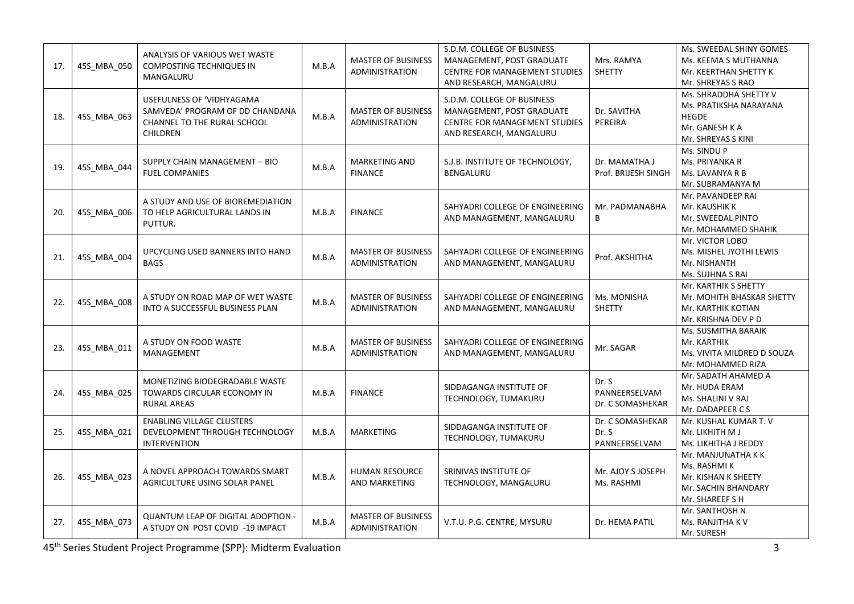| 17. | 45S MBA 050 | ANALYSIS OF VARIOUS WET WASTE<br>COMPOSTING TECHNIQUES IN<br>MANGALURU                                         | M.B.A | <b>MASTER OF BUSINESS</b><br><b>ADMINISTRATION</b> | S.D.M. COLLEGE OF BUSINESS<br>MANAGEMENT, POST GRADUATE<br>CENTRE FOR MANAGEMENT STUDIES<br>AND RESEARCH, MANGALURU        | Mrs. RAMYA<br><b>SHETTY</b>                | Ms. SWEEDAL SHINY GOMES<br>Ms. KEEMA S MUTHANNA<br>Mr. KEERTHAN SHETTY K<br>Mr. SHREYAS S RAO           |
|-----|-------------|----------------------------------------------------------------------------------------------------------------|-------|----------------------------------------------------|----------------------------------------------------------------------------------------------------------------------------|--------------------------------------------|---------------------------------------------------------------------------------------------------------|
| 18. | 45S_MBA_063 | USEFULNESS OF 'VIDHYAGAMA<br>SAMVEDA' PROGRAM OF DD CHANDANA<br>CHANNEL TO THE RURAL SCHOOL<br><b>CHILDREN</b> | M.B.A | <b>MASTER OF BUSINESS</b><br><b>ADMINISTRATION</b> | S.D.M. COLLEGE OF BUSINESS<br>MANAGEMENT, POST GRADUATE<br><b>CENTRE FOR MANAGEMENT STUDIES</b><br>AND RESEARCH, MANGALURU | Dr. SAVITHA<br>PEREIRA                     | Ms. SHRADDHA SHETTY V<br>Ms. PRATIKSHA NARAYANA<br><b>HEGDE</b><br>Mr. GANESH K A<br>Mr. SHREYAS S KINI |
| 19. | 45S_MBA_044 | SUPPLY CHAIN MANAGEMENT - BIO<br><b>FUEL COMPANIES</b>                                                         | M.B.A | <b>MARKETING AND</b><br><b>FINANCE</b>             | S.J.B. INSTITUTE OF TECHNOLOGY,<br><b>BENGALURU</b>                                                                        | Dr. MAMATHA J<br>Prof. BRIJESH SINGH       | Ms. SINDU P<br>Ms. PRIYANKA R<br>Ms. LAVANYA R B<br>Mr. SUBRAMANYA M                                    |
| 20. | 45S_MBA_006 | A STUDY AND USE OF BIOREMEDIATION<br>TO HELP AGRICULTURAL LANDS IN<br>PUTTUR.                                  | M.B.A | <b>FINANCE</b>                                     | SAHYADRI COLLEGE OF ENGINEERING<br>AND MANAGEMENT, MANGALURU                                                               | Mr. PADMANABHA<br>В                        | Mr. PAVANDEEP RAI<br>Mr. KAUSHIK K<br>Mr. SWEEDAL PINTO<br>Mr. MOHAMMED SHAHIK                          |
| 21. | 45S_MBA_004 | UPCYCLING USED BANNERS INTO HAND<br><b>BAGS</b>                                                                | M.B.A | <b>MASTER OF BUSINESS</b><br><b>ADMINISTRATION</b> | SAHYADRI COLLEGE OF ENGINEERING<br>AND MANAGEMENT, MANGALURU                                                               | Prof. AKSHITHA                             | Mr. VICTOR LOBO<br>Ms. MISHEL JYOTHI LEWIS<br>Mr. NISHANTH<br>Ms. SUJHNA S RAI                          |
| 22. | 45S_MBA_008 | A STUDY ON ROAD MAP OF WET WASTE<br>INTO A SUCCESSFUL BUSINESS PLAN                                            | M.B.A | <b>MASTER OF BUSINESS</b><br><b>ADMINISTRATION</b> | SAHYADRI COLLEGE OF ENGINEERING<br>AND MANAGEMENT, MANGALURU                                                               | Ms. MONISHA<br><b>SHETTY</b>               | Mr. KARTHIK S SHETTY<br>Mr. MOHITH BHASKAR SHETTY<br>Mr. KARTHIK KOTIAN<br>Mr. KRISHNA DEV P D          |
| 23. | 45S_MBA_011 | A STUDY ON FOOD WASTE<br>MANAGEMENT                                                                            | M.B.A | <b>MASTER OF BUSINESS</b><br><b>ADMINISTRATION</b> | SAHYADRI COLLEGE OF ENGINEERING<br>AND MANAGEMENT, MANGALURU                                                               | Mr. SAGAR                                  | Ms. SUSMITHA BARAIK<br>Mr. KARTHIK<br>Ms. VIVITA MILDRED D SOUZA<br>Mr. MOHAMMED RIZA                   |
| 24. | 45S_MBA_025 | MONETIZING BIODEGRADABLE WASTE<br>TOWARDS CIRCULAR ECONOMY IN<br><b>RURAL AREAS</b>                            | M.B.A | <b>FINANCE</b>                                     | SIDDAGANGA INSTITUTE OF<br>TECHNOLOGY, TUMAKURU                                                                            | Dr. S<br>PANNEERSELVAM<br>Dr. C SOMASHEKAR | Mr. SADATH AHAMED A<br>Mr. HUDA ERAM<br>Ms. SHALINI V RAJ<br>Mr. DADAPEER CS                            |
| 25. | 45S_MBA_021 | <b>ENABLING VILLAGE CLUSTERS</b><br>DEVELOPMENT THROUGH TECHNOLOGY<br><b>INTERVENTION</b>                      | M.B.A | <b>MARKETING</b>                                   | SIDDAGANGA INSTITUTE OF<br>TECHNOLOGY, TUMAKURU                                                                            | Dr. C SOMASHEKAR<br>Dr. S<br>PANNEERSELVAM | Mr. KUSHAL KUMAR T. V<br>Mr. LIKHITH M J<br>Ms. LIKHITHA J REDDY                                        |
| 26. | 45S MBA 023 | A NOVEL APPROACH TOWARDS SMART<br>AGRICULTURE USING SOLAR PANEL                                                | M.B.A | HUMAN RESOURCE<br>AND MARKETING                    | SRINIVAS INSTITUTE OF<br>TECHNOLOGY, MANGALURU                                                                             | Mr. AJOY S JOSEPH<br>Ms. RASHMI            | Mr. MANJUNATHA K K<br>Ms. RASHMI K<br>Mr. KISHAN K SHEETY<br>Mr. SACHIN BHANDARY<br>Mr. SHAREEF S H     |
| 27. | 45S_MBA_073 | <b>QUANTUM LEAP OF DIGITAL ADOPTION -</b><br>A STUDY ON POST COVID -19 IMPACT                                  | M.B.A | <b>MASTER OF BUSINESS</b><br><b>ADMINISTRATION</b> | V.T.U. P.G. CENTRE, MYSURU                                                                                                 | Dr. HEMA PATIL                             | Mr. SANTHOSH N<br>Ms. RANJITHA KV<br>Mr. SURESH                                                         |

45th Series Student Project Programme (SPP): Midterm Evaluation 3